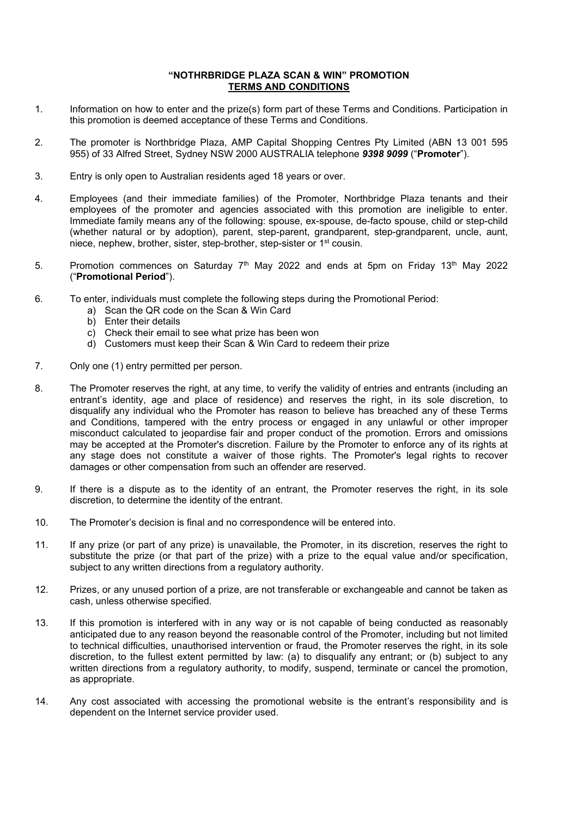## **"NOTHRBRIDGE PLAZA SCAN & WIN" PROMOTION TERMS AND CONDITIONS**

- 1. Information on how to enter and the prize(s) form part of these Terms and Conditions. Participation in this promotion is deemed acceptance of these Terms and Conditions.
- 2. The promoter is Northbridge Plaza, AMP Capital Shopping Centres Pty Limited (ABN 13 001 595 955) of 33 Alfred Street, Sydney NSW 2000 AUSTRALIA telephone *9398 9099* ("**Promoter**").
- 3. Entry is only open to Australian residents aged 18 years or over.
- 4. Employees (and their immediate families) of the Promoter, Northbridge Plaza tenants and their employees of the promoter and agencies associated with this promotion are ineligible to enter. Immediate family means any of the following: spouse, ex-spouse, de-facto spouse, child or step-child (whether natural or by adoption), parent, step-parent, grandparent, step-grandparent, uncle, aunt, niece, nephew, brother, sister, step-brother, step-sister or 1st cousin.
- 5. Promotion commences on Saturday  $7<sup>th</sup>$  May 2022 and ends at 5pm on Friday 13<sup>th</sup> May 2022 ("**Promotional Period**").
- 6. To enter, individuals must complete the following steps during the Promotional Period:
	- a) Scan the QR code on the Scan & Win Card
	- b) Enter their details
	- c) Check their email to see what prize has been won
	- d) Customers must keep their Scan & Win Card to redeem their prize
- 7. Only one (1) entry permitted per person.
- 8. The Promoter reserves the right, at any time, to verify the validity of entries and entrants (including an entrant's identity, age and place of residence) and reserves the right, in its sole discretion, to disqualify any individual who the Promoter has reason to believe has breached any of these Terms and Conditions, tampered with the entry process or engaged in any unlawful or other improper misconduct calculated to jeopardise fair and proper conduct of the promotion. Errors and omissions may be accepted at the Promoter's discretion. Failure by the Promoter to enforce any of its rights at any stage does not constitute a waiver of those rights. The Promoter's legal rights to recover damages or other compensation from such an offender are reserved.
- 9. If there is a dispute as to the identity of an entrant, the Promoter reserves the right, in its sole discretion, to determine the identity of the entrant.
- 10. The Promoter's decision is final and no correspondence will be entered into.
- 11. If any prize (or part of any prize) is unavailable, the Promoter, in its discretion, reserves the right to substitute the prize (or that part of the prize) with a prize to the equal value and/or specification, subject to any written directions from a regulatory authority.
- 12. Prizes, or any unused portion of a prize, are not transferable or exchangeable and cannot be taken as cash, unless otherwise specified.
- 13. If this promotion is interfered with in any way or is not capable of being conducted as reasonably anticipated due to any reason beyond the reasonable control of the Promoter, including but not limited to technical difficulties, unauthorised intervention or fraud, the Promoter reserves the right, in its sole discretion, to the fullest extent permitted by law: (a) to disqualify any entrant; or (b) subject to any written directions from a regulatory authority, to modify, suspend, terminate or cancel the promotion, as appropriate.
- 14. Any cost associated with accessing the promotional website is the entrant's responsibility and is dependent on the Internet service provider used.